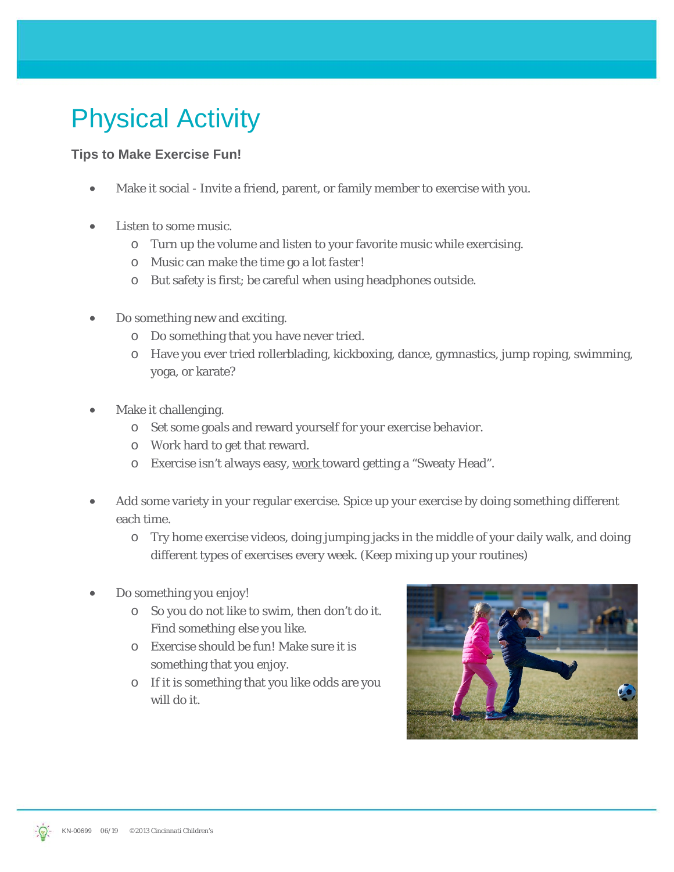## Physical Activity

## **Tips to Make Exercise Fun!**

- Make it social Invite a friend, parent, or family member to exercise with you.
- Listen to some music.
	- o Turn up the volume and listen to your favorite music while exercising.
	- o Music can make the time go a lot *faster*!
	- o But safety is first; be careful when using headphones outside.
- Do something new and exciting.
	- o Do something that you have never tried.
	- o Have you ever tried rollerblading, kickboxing, dance, gymnastics, jump roping, swimming, yoga, or karate?
- Make it challenging.
	- o Set some goals and reward yourself for your exercise behavior.
	- o Work hard to get that reward.
	- o Exercise isn't always easy, work toward getting a "Sweaty Head".
- Add some variety in your regular exercise. Spice up your exercise by doing something different each time.
	- o Try home exercise videos, doing jumping jacks in the middle of your daily walk, and doing different types of exercises every week. (Keep mixing up your routines)
- Do something you enjoy!
	- o So you do not like to swim, then don't do it. *Find something else you like.*
	- o Exercise should be fun! Make sure it is something that you enjoy.
	- o If it is something that you like odds are you will do it.